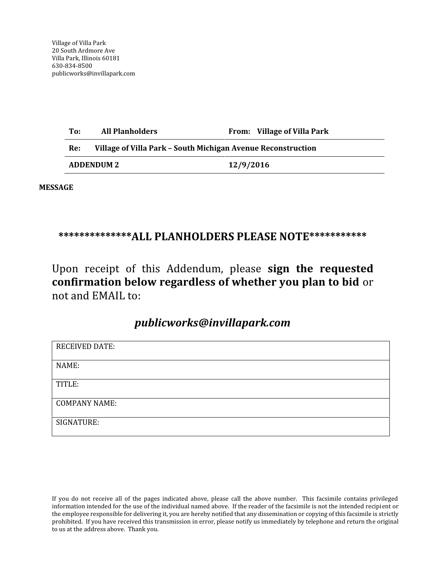| To:               | <b>All Planholders</b>                                       |           | From: Village of Villa Park |
|-------------------|--------------------------------------------------------------|-----------|-----------------------------|
| Re:               | Village of Villa Park - South Michigan Avenue Reconstruction |           |                             |
| <b>ADDENDUM 2</b> |                                                              | 12/9/2016 |                             |

**MESSAGE** 

## \*\*\*\*\*\*\*\*\*\*\*\*\*\*\*ALL PLANHOLDERS PLEASE NOTE\*\*\*\*\*\*\*\*\*\*\*\*

Upon receipt of this Addendum, please sign the requested confirmation below regardless of whether you plan to bid or not and EMAIL to:

## publicworks@invillapark.com

| <b>RECEIVED DATE:</b> |
|-----------------------|
|                       |
| NAME:                 |
|                       |
|                       |
| TITLE:                |
|                       |
|                       |
| <b>COMPANY NAME:</b>  |
|                       |
| SIGNATURE:            |
|                       |
|                       |

If you do not receive all of the pages indicated above, please call the above number. This facsimile contains privileged information intended for the use of the individual named above. If the reader of the facsimile is not the intended recipient or the employee responsible for delivering it, you are hereby notified that any dissemination or copying of this facsimile is strictly prohibited. If you have received this transmission in error, please notify us immediately by telephone and return the original to us at the address above. Thank you.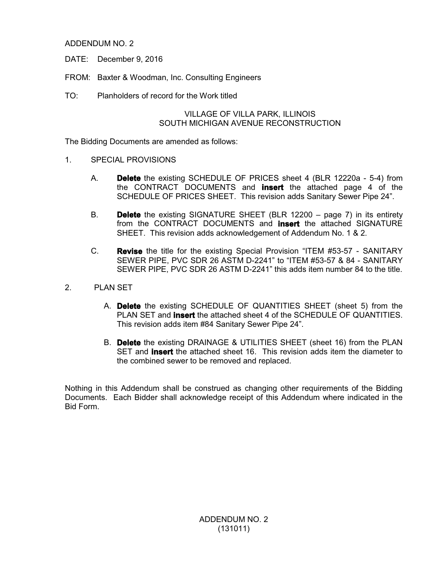ADDENDUM NO. 2

- DATE: December 9, 2016
- FROM: Baxter & Woodman, Inc. Consulting Engineers
- TO: Planholders of record for the Work titled

#### VILLAGE OF VILLA PARK, ILLINOIS SOUTH MICHIGAN AVENUE RECONSTRUCTION

The Bidding Documents are amended as follows:

- 1. SPECIAL PROVISIONS
	- A. **Delete** the existing SCHEDULE OF PRICES sheet 4 (BLR 12220a 5-4) from the CONTRACT DOCUMENTS and **insert** the attached page 4 of the SCHEDULE OF PRICES SHEET. This revision adds Sanitary Sewer Pipe 24".
	- B. **Delete** the existing SIGNATURE SHEET (BLR 12200 page 7) in its entirety from the CONTRACT DOCUMENTS and **insert** the attached SIGNATURE SHEET. This revision adds acknowledgement of Addendum No. 1 & 2.
	- C. **Revise** the title for the existing Special Provision "ITEM #53-57 SANITARY SEWER PIPE, PVC SDR 26 ASTM D-2241" to "ITEM #53-57 & 84 - SANITARY SEWER PIPE, PVC SDR 26 ASTM D-2241" this adds item number 84 to the title.
- 2. PLAN SET
	- A. **Delete** the existing SCHEDULE OF QUANTITIES SHEET (sheet 5) from the PLAN SET and **insert** the attached sheet 4 of the SCHEDULE OF QUANTITIES. This revision adds item #84 Sanitary Sewer Pipe 24".
	- B. **Delete** the existing DRAINAGE & UTILITIES SHEET (sheet 16) from the PLAN SET and **insert** the attached sheet 16. This revision adds item the diameter to the combined sewer to be removed and replaced.

Nothing in this Addendum shall be construed as changing other requirements of the Bidding Documents. Each Bidder shall acknowledge receipt of this Addendum where indicated in the Bid Form.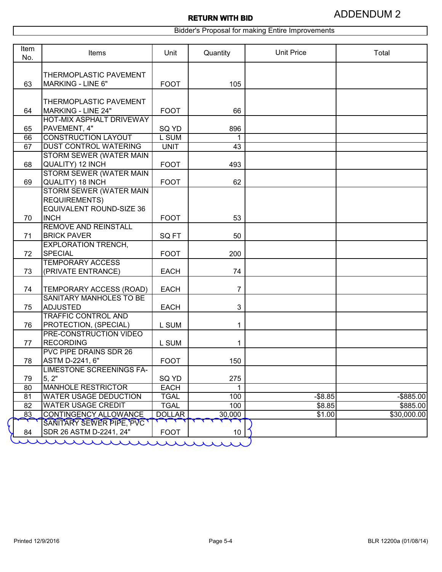Bidder's Proposal for making Entire Improvements

| Item<br>No. | Items                                                 | Unit          | Quantity       | <b>Unit Price</b> | Total        |
|-------------|-------------------------------------------------------|---------------|----------------|-------------------|--------------|
|             |                                                       |               |                |                   |              |
| 63          | THERMOPLASTIC PAVEMENT<br><b>MARKING - LINE 6"</b>    | <b>FOOT</b>   | 105            |                   |              |
|             |                                                       |               |                |                   |              |
|             | THERMOPLASTIC PAVEMENT                                |               |                |                   |              |
| 64          | MARKING - LINE 24"<br><b>HOT-MIX ASPHALT DRIVEWAY</b> | <b>FOOT</b>   | 66             |                   |              |
| 65          | PAVEMENT, 4"                                          | SQ YD         | 896            |                   |              |
| 66          | <b>CONSTRUCTION LAYOUT</b>                            | L SUM         |                |                   |              |
| 67          | <b>DUST CONTROL WATERING</b>                          | <b>UNIT</b>   | 43             |                   |              |
|             | STORM SEWER (WATER MAIN                               |               |                |                   |              |
| 68          | QUALITY) 12 INCH                                      | <b>FOOT</b>   | 493            |                   |              |
|             | STORM SEWER (WATER MAIN                               |               |                |                   |              |
| 69          | QUALITY) 18 INCH<br>STORM SEWER (WATER MAIN           | <b>FOOT</b>   | 62             |                   |              |
|             | <b>REQUIREMENTS)</b>                                  |               |                |                   |              |
|             | <b>EQUIVALENT ROUND-SIZE 36</b>                       |               |                |                   |              |
| 70          | <b>INCH</b>                                           | <b>FOOT</b>   | 53             |                   |              |
|             | <b>REMOVE AND REINSTALL</b>                           |               |                |                   |              |
| 71          | <b>BRICK PAVER</b>                                    | SQ FT         | 50             |                   |              |
| 72          | <b>EXPLORATION TRENCH,</b><br><b>SPECIAL</b>          | <b>FOOT</b>   | 200            |                   |              |
|             | <b>TEMPORARY ACCESS</b>                               |               |                |                   |              |
| 73          | (PRIVATE ENTRANCE)                                    | <b>EACH</b>   | 74             |                   |              |
|             |                                                       |               |                |                   |              |
| 74          | TEMPORARY ACCESS (ROAD)<br>SANITARY MANHOLES TO BE    | <b>EACH</b>   | $\overline{7}$ |                   |              |
| 75          | <b>ADJUSTED</b>                                       | <b>EACH</b>   | 3              |                   |              |
|             | <b>TRAFFIC CONTROL AND</b>                            |               |                |                   |              |
| 76          | PROTECTION, (SPECIAL)                                 | L SUM         | 1              |                   |              |
|             | <b>PRE-CONSTRUCTION VIDEO</b>                         |               |                |                   |              |
| 77          | <b>RECORDING</b>                                      | L SUM         | 1              |                   |              |
| 78          | PVC PIPE DRAINS SDR 26<br>ASTM D-2241, 6"             | <b>FOOT</b>   | 150            |                   |              |
|             | LIMESTONE SCREENINGS FA-                              |               |                |                   |              |
| 79          | 5, 2"                                                 | SQ YD         | 275            |                   |              |
| 80          | <b>MANHOLE RESTRICTOR</b>                             | <b>EACH</b>   | 1              |                   |              |
| 81          | <b>WATER USAGE DEDUCTION</b>                          | <b>TGAL</b>   | 100            | $-$ \$8.85        | $-$ \$885.00 |
| 82          | <b>WATER USAGE CREDIT</b>                             | <b>TGAL</b>   | 100            | \$8.85            | \$885.00     |
| 83          | <b>CONTINGENCY ALLOWANCE</b>                          | <b>DOLLAR</b> | 30,000         | \$1.00            | \$30,000.00  |
| 84          | SANITARY SEWER PIPE, PVC<br>SDR 26 ASTM D-2241, 24"   | <b>FOOT</b>   | 10             |                   |              |
|             | A A A A A A A                                         |               |                |                   |              |

 $\big($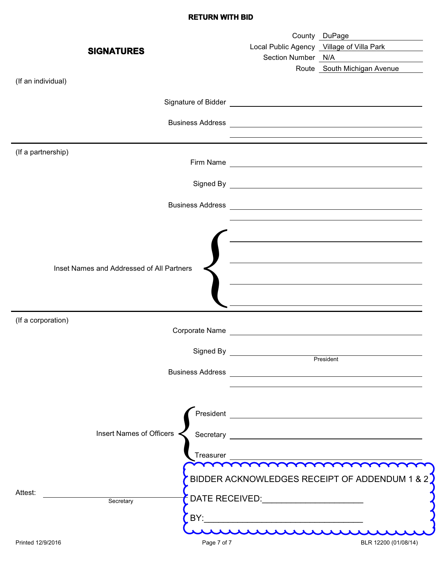### **RETURN WITH BID**

| <b>SIGNATURES</b>                                             | Section Number N/A                    | County DuPage<br>Local Public Agency Village of Villa Park<br><u> 1980 - Jan Barat, martin a</u>                                                                                                                                              |
|---------------------------------------------------------------|---------------------------------------|-----------------------------------------------------------------------------------------------------------------------------------------------------------------------------------------------------------------------------------------------|
| (If an individual)                                            |                                       | Route South Michigan Avenue                                                                                                                                                                                                                   |
|                                                               |                                       | Signature of Bidder<br><u> Contract Contract Contract Contract Contract Contract Contract Contract Contract Contract Contract Contract Contract Contract Contract Contract Contract Contract Contract Contract Contract Contract C</u>        |
|                                                               |                                       | <u> 1989 - Johann Stoff, deutscher Stoff, der Stoff, der Stoff, der Stoff, der Stoff, der Stoff, der Stoff, der S</u>                                                                                                                         |
| (If a partnership)                                            |                                       |                                                                                                                                                                                                                                               |
|                                                               |                                       | Signed By <u>example and the set of the set of the set of the set of the set of the set of the set of the set of the set of the set of the set of the set of the set of the set of the set of the set of the set of the set of t</u>          |
|                                                               |                                       |                                                                                                                                                                                                                                               |
| Inset Names and Addressed of All Partners                     |                                       | <u> 1989 - Johann Barbara, martin amerikan basar dan berasal dalam basa dalam basar dalam basar dalam basar dala</u><br><u> 1989 - Johann Stoff, deutscher Stoff, der Stoff, der Stoff, der Stoff, der Stoff, der Stoff, der Stoff, der S</u> |
| (If a corporation)                                            |                                       |                                                                                                                                                                                                                                               |
| Signed By                                                     |                                       | President                                                                                                                                                                                                                                     |
|                                                               |                                       | Business Address <b>Contract Contract Contract Contract Contract Contract Contract Contract Contract Contract Contract Contract Contract Contract Contract Contract Contract Contract Contract Contract Contract Contract Contra</b>          |
| Insert Names of Officers<br>Treasurer<br>Attest:<br>Secretary | DATE RECEIVED:_______________________ | mmmmmmm<br>BIDDER ACKNOWLEDGES RECEIPT OF ADDENDUM 1 & 2                                                                                                                                                                                      |
| Page 7 of 7<br>Printed 12/9/2016                              |                                       | BLR 12200 (01/08/14)                                                                                                                                                                                                                          |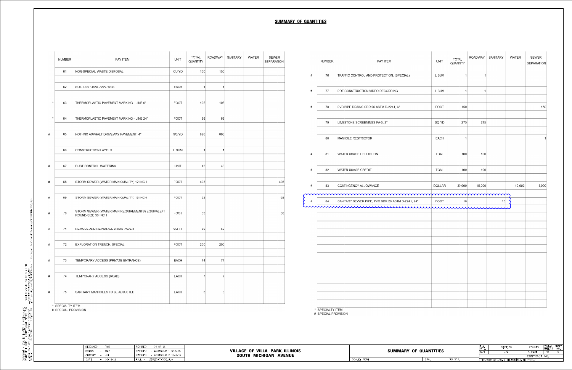| <b>NUMBER</b>       | <b>PAY ITEM</b>                                                                                                                                   | <b>UNIT</b> | <b>TOTAL</b><br>QUANTITY    |     | ROADWAY   SANITARY   | <b>WATER</b>                                             | SEWER<br><b>SEPARATION</b> | <b>NUMBER</b>    |                     | PAY ITEM                                                                                | <b>UNIT</b> | <b>TOTAL</b><br>QUANTITY | ROADWAY   SANITARY                                                             |                                                 | <b>WATER</b> | SEWER<br><b>SEPARATION</b>     |
|---------------------|---------------------------------------------------------------------------------------------------------------------------------------------------|-------------|-----------------------------|-----|----------------------|----------------------------------------------------------|----------------------------|------------------|---------------------|-----------------------------------------------------------------------------------------|-------------|--------------------------|--------------------------------------------------------------------------------|-------------------------------------------------|--------------|--------------------------------|
| 61                  | NON-SPECIAL WASTE DISPOSAL                                                                                                                        | CU YD       | 150                         | 150 |                      |                                                          |                            | 76               |                     | TRAFFIC CONTROL AND PROTECTION, (SPECIAL)                                               | L SUM       |                          |                                                                                |                                                 |              |                                |
| 62                  | SOIL DISPOSAL ANALYSIS                                                                                                                            | <b>EACH</b> |                             |     |                      |                                                          |                            | 77               |                     | <b>PRE-CONSTRUCTION VIDEO RECORDING</b>                                                 | L SUM       |                          |                                                                                |                                                 |              |                                |
| 63                  | THERMOPLASTIC PAVEMENT MARKING - LINE 6"                                                                                                          | <b>FOOT</b> | 105                         | 105 |                      |                                                          |                            | 78               |                     | PVC PIPE DRAINS SDR 26 ASTM D-2241, 6"                                                  | <b>FOOT</b> | 150                      |                                                                                |                                                 |              | 150                            |
| 64                  | THERMOPLASTIC PAVEMENT MARKING - LINE 24"                                                                                                         | <b>FOOT</b> |                             | 66  |                      |                                                          |                            | 79               |                     | LIMESTONE SCREENINGS FA-5, 2"                                                           | SQ YD       | 275                      | 275                                                                            |                                                 |              |                                |
| 65                  | HOT-MIX ASPHALT DRIVEWAY PAVEMENT, 4"                                                                                                             | SQ YD       | 896                         | 896 |                      |                                                          |                            | 80               |                     | MANHOLE RESTRICTOR                                                                      | <b>EACH</b> |                          |                                                                                |                                                 |              |                                |
| 66                  | CONSTRUCTION LAYOUT                                                                                                                               | L SUM       |                             |     |                      |                                                          |                            | 81               |                     | WATER USAGE DEDUCTION                                                                   | <b>TGAL</b> | 100                      | 100                                                                            |                                                 |              |                                |
| 67                  | <b>DUST CONTROL WATERING</b>                                                                                                                      | <b>UNIT</b> |                             |     |                      |                                                          |                            | 82               |                     | <b>WATER USAGE CREDIT</b>                                                               | <b>TGAL</b> | 100                      | 100                                                                            |                                                 |              |                                |
| 68                  | STORM SEWER (WATER MAIN QUALITY) 12 INCH                                                                                                          | <b>FOOT</b> | 493                         |     |                      |                                                          | 493                        |                  |                     |                                                                                         |             |                          |                                                                                |                                                 |              |                                |
| 69                  | STORM SEWER (WATER MAIN QUALITY) 18 INCH                                                                                                          | <b>FOOT</b> |                             | 62  |                      |                                                          | 62                         | 83               |                     | CONTINGENCY ALLOWANCE<br>munimummummummummummummummumm                                  | DOLLAR      | 30,000                   | 15,000                                                                         |                                                 | 10,000       | 5,000                          |
| 70                  | STORM SEWER (WATER MAIN REQUIREMENTS) EQUIVALENT<br>ROUND-SIZE 36 INCH                                                                            | <b>FOOT</b> |                             |     |                      |                                                          | 53                         | 84               |                     | SANITARY SEWER PIPE, PVC SDR 26 ASTM D-2241, 24"<br>aupmunteremmunteremmunterentaminten | <b>FOOT</b> |                          |                                                                                |                                                 |              |                                |
| 7 <sup>1</sup>      | REMOVE AND REINSTALL BRICK PAVER                                                                                                                  | SQ FT       | 50                          |     |                      |                                                          |                            |                  |                     |                                                                                         |             |                          |                                                                                |                                                 |              |                                |
| 72                  | <b>EXPLORATION TRENCH, SPECIAL</b>                                                                                                                | <b>FOOT</b> | 200                         | 200 |                      |                                                          |                            |                  |                     |                                                                                         |             |                          |                                                                                |                                                 |              |                                |
|                     | 73   TEMPORARY ACCESS (PRIVATE ENTRANCE)                                                                                                          | <b>EACH</b> | $\rightarrow$ $\rightarrow$ |     | $\overline{z}$<br>74 |                                                          |                            |                  |                     |                                                                                         |             |                          |                                                                                |                                                 |              |                                |
| 74                  | TEMPORARY ACCESS (ROAD)                                                                                                                           | <b>EACH</b> |                             |     |                      |                                                          |                            |                  |                     |                                                                                         |             |                          |                                                                                |                                                 |              |                                |
| 75                  | SANITARY MANHOLES TO BE ADJUSTED                                                                                                                  | EACH        |                             |     |                      |                                                          |                            |                  |                     |                                                                                         |             |                          |                                                                                |                                                 |              |                                |
| * SPECIALTY ITEM    |                                                                                                                                                   |             |                             |     |                      |                                                          |                            |                  |                     |                                                                                         |             |                          |                                                                                |                                                 |              |                                |
| # SPECIAL PROVISION |                                                                                                                                                   |             |                             |     |                      |                                                          |                            | * SPECIALTY ITEM | # SPECIAL PROVISION |                                                                                         |             |                          |                                                                                |                                                 |              |                                |
|                     | DESIGNED - TMS<br>REVISED<br>$-04-07-16$<br>- ADDENDUM 1 12-5-16<br>REVISED<br>- MAC<br>DRAWN<br>REVISED<br>- ADDENDUM 2 12-9-16<br>CHECKED - JJF |             |                             |     |                      | VILLAGE OF VILLA PARK, ILLINOIS<br>SOUTH MICHIGAN AVENUE |                            |                  |                     | <b>SUMMARY OF QUANTITIES</b>                                                            |             |                          | $\begin{bmatrix} F_{\bullet}A_{\bullet} \\ RTE_{\bullet} \end{bmatrix}$<br>N/A | SECTION<br>N/A                                  |              | COUNTY TO<br>−.<br>C<br>DUPAGE |
|                     | $\vert$ FILE - 131011SHT-S00.dgn<br>DATE<br>$- 10 - 18 - 16$                                                                                      |             |                             |     |                      |                                                          |                            |                  |                     | STA.<br>SCALE: NONE                                                                     |             | TO STA.                  |                                                                                | FED. ROAD DIST. NO. 1 ILLINOIS FED. AID PROJECT |              | CONTRACT NO                    |

copyright © 2016,By Baxter & WoodMan,NC.<br>State of Illnois - professional design firm ....\piqtdrv\pdf-Bw\_defquit.pht<br>License no.- 184-00121 - expires 4/30/2017 ....\cqdd\piqts\I3ioil-Pen.tdi<br>560kqr<br>'2/9/2016 ..............

# **SUMMARY OF QUANTITIES**

|               | <b>NUMBER</b> | PAY ITEM                                                                                                                                                                                               | <b>UNIT</b>   | <b>TOTAL</b><br>QUANTITY | SANITARY<br><b>ROADWAY</b> | <b>WATER</b> | SEWER<br><b>SEPARATION</b> |
|---------------|---------------|--------------------------------------------------------------------------------------------------------------------------------------------------------------------------------------------------------|---------------|--------------------------|----------------------------|--------------|----------------------------|
| 7             | 76            | TRAFFIC CONTROL AND PROTECTION, (SPECIAL)                                                                                                                                                              | L SUM         |                          |                            |              |                            |
| 7             | 77            | PRE-CONSTRUCTION VIDEO RECORDING                                                                                                                                                                       | L SUM         |                          |                            |              |                            |
| 7             | 78            | PVC PIPE DRAINS SDR 26 ASTM D-2241, 6"                                                                                                                                                                 | <b>FOOT</b>   | 150                      |                            |              | 150                        |
|               | 79            | LIMESTONE SCREENINGS FA-5, 2"                                                                                                                                                                          | SQ YD         | 275                      | 275                        |              |                            |
|               | 80            | MANHOLE RESTRICTOR                                                                                                                                                                                     | <b>EACH</b>   |                          |                            |              | 1                          |
| #             | 81            | <b>WATER USAGE DEDUCTION</b>                                                                                                                                                                           | <b>TGAL</b>   | 100                      | 100                        |              |                            |
| 7             | 82            | <b>WATER USAGE CREDIT</b>                                                                                                                                                                              | <b>TGAL</b>   | 100                      | 100                        |              |                            |
| $\frac{4}{5}$ | 83            | CONTINGENCY ALLOWANCE                                                                                                                                                                                  | <b>DOLLAR</b> | 30,000                   | 15,000                     | 10,000       | 5,000                      |
| $\frac{1}{2}$ | 84            | npuruntummummummummummummummumm<br>SANITARY SEWER PIPE, PVC SDR 26 ASTM D-2241, 24"<br>a de la confirmación de la confirmación de la confirmación de la confirmación de la confirmación de la confirma | <b>FOOT</b>   | 10                       | 10                         |              |                            |
|               |               |                                                                                                                                                                                                        |               |                          |                            |              |                            |
|               |               |                                                                                                                                                                                                        |               |                          |                            |              |                            |
|               |               |                                                                                                                                                                                                        |               |                          |                            |              |                            |
|               |               |                                                                                                                                                                                                        |               |                          |                            |              |                            |
|               |               |                                                                                                                                                                                                        |               |                          |                            |              |                            |
|               |               |                                                                                                                                                                                                        |               |                          |                            |              |                            |
|               |               |                                                                                                                                                                                                        |               |                          |                            |              |                            |

|            |      |         |     | SECTION                                          | COUNTY       | TOTAL<br>SHEE | <b>SHEET</b><br>NO. |
|------------|------|---------|-----|--------------------------------------------------|--------------|---------------|---------------------|
| QUANTITIES |      | N/A     | N/A | DUPAGE                                           | 39           | ∽             |                     |
|            |      |         |     |                                                  | CONTRACT NO. |               |                     |
|            | STA. | TO STA. |     | FED. ROAD DIST. NO. 1  ILLINOIS FED. AID PROJECT |              |               |                     |